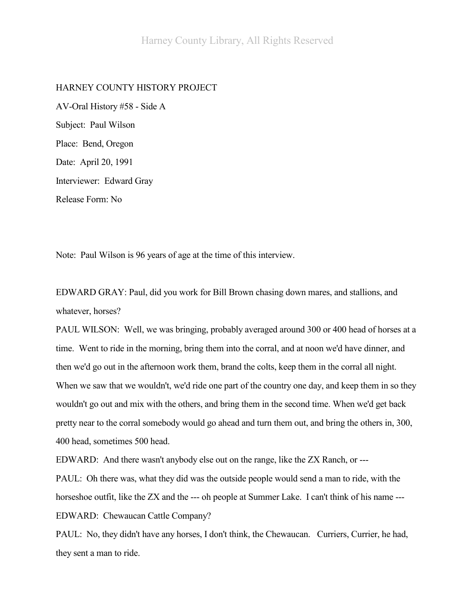## HARNEY COUNTY HISTORY PROJECT

AV-Oral History #58 - Side A Subject: Paul Wilson Place: Bend, Oregon Date: April 20, 1991 Interviewer: Edward Gray Release Form: No

Note: Paul Wilson is 96 years of age at the time of this interview.

EDWARD GRAY: Paul, did you work for Bill Brown chasing down mares, and stallions, and whatever, horses?

PAUL WILSON: Well, we was bringing, probably averaged around 300 or 400 head of horses at a time. Went to ride in the morning, bring them into the corral, and at noon we'd have dinner, and then we'd go out in the afternoon work them, brand the colts, keep them in the corral all night. When we saw that we wouldn't, we'd ride one part of the country one day, and keep them in so they wouldn't go out and mix with the others, and bring them in the second time. When we'd get back pretty near to the corral somebody would go ahead and turn them out, and bring the others in, 300, 400 head, sometimes 500 head.

EDWARD: And there wasn't anybody else out on the range, like the ZX Ranch, or ---

PAUL: Oh there was, what they did was the outside people would send a man to ride, with the horseshoe outfit, like the ZX and the --- oh people at Summer Lake. I can't think of his name ---EDWARD: Chewaucan Cattle Company?

PAUL: No, they didn't have any horses, I don't think, the Chewaucan. Curriers, Currier, he had, they sent a man to ride.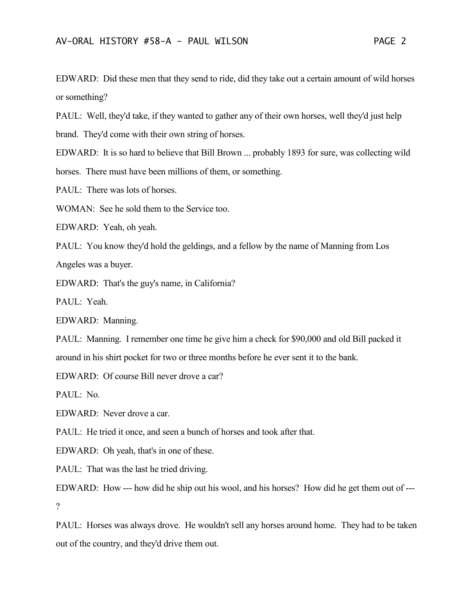EDWARD: Did these men that they send to ride, did they take out a certain amount of wild horses or something?

PAUL: Well, they'd take, if they wanted to gather any of their own horses, well they'd just help

brand. They'd come with their own string of horses.

EDWARD: It is so hard to believe that Bill Brown ... probably 1893 for sure, was collecting wild

horses. There must have been millions of them, or something.

PAUL: There was lots of horses.

WOMAN: See he sold them to the Service too.

EDWARD: Yeah, oh yeah.

PAUL: You know they'd hold the geldings, and a fellow by the name of Manning from Los Angeles was a buyer.

EDWARD: That's the guy's name, in California?

PAUL: Yeah.

EDWARD: Manning.

PAUL: Manning. I remember one time he give him a check for \$90,000 and old Bill packed it around in his shirt pocket for two or three months before he ever sent it to the bank.

EDWARD: Of course Bill never drove a car?

PAUL: No.

EDWARD: Never drove a car.

PAUL: He tried it once, and seen a bunch of horses and took after that.

EDWARD: Oh yeah, that's in one of these.

PAUL: That was the last he tried driving.

EDWARD: How --- how did he ship out his wool, and his horses? How did he get them out of --- ?

PAUL: Horses was always drove. He wouldn't sell any horses around home. They had to be taken out of the country, and they'd drive them out.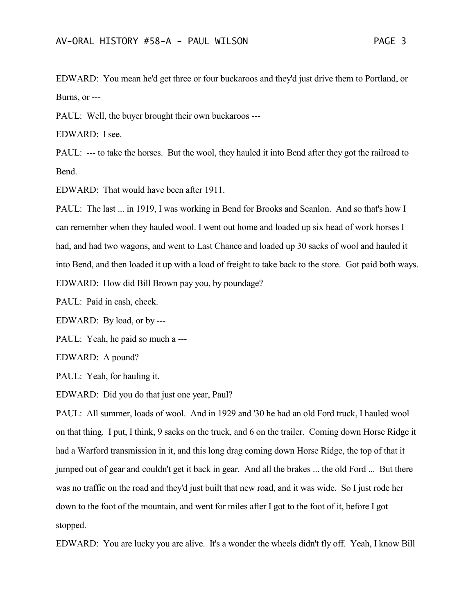EDWARD: You mean he'd get three or four buckaroos and they'd just drive them to Portland, or Burns, or ---

PAUL: Well, the buyer brought their own buckaroos ---

EDWARD: I see.

PAUL: --- to take the horses. But the wool, they hauled it into Bend after they got the railroad to Bend.

EDWARD: That would have been after 1911.

PAUL: The last ... in 1919, I was working in Bend for Brooks and Scanlon. And so that's how I can remember when they hauled wool. I went out home and loaded up six head of work horses I had, and had two wagons, and went to Last Chance and loaded up 30 sacks of wool and hauled it into Bend, and then loaded it up with a load of freight to take back to the store. Got paid both ways. EDWARD: How did Bill Brown pay you, by poundage?

PAUL: Paid in cash, check.

EDWARD: By load, or by ---

PAUL: Yeah, he paid so much a ---

EDWARD: A pound?

PAUL: Yeah, for hauling it.

EDWARD: Did you do that just one year, Paul?

PAUL: All summer, loads of wool. And in 1929 and '30 he had an old Ford truck, I hauled wool on that thing. I put, I think, 9 sacks on the truck, and 6 on the trailer. Coming down Horse Ridge it had a Warford transmission in it, and this long drag coming down Horse Ridge, the top of that it jumped out of gear and couldn't get it back in gear. And all the brakes ... the old Ford ... But there was no traffic on the road and they'd just built that new road, and it was wide. So I just rode her down to the foot of the mountain, and went for miles after I got to the foot of it, before I got stopped.

EDWARD: You are lucky you are alive. It's a wonder the wheels didn't fly off. Yeah, I know Bill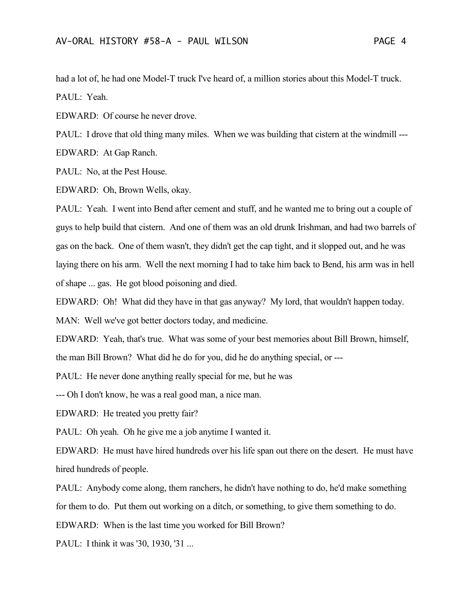had a lot of, he had one Model-T truck I've heard of, a million stories about this Model-T truck. PAUL: Yeah.

EDWARD: Of course he never drove.

PAUL: I drove that old thing many miles. When we was building that cistern at the windmill ---EDWARD: At Gap Ranch.

PAUL: No, at the Pest House.

EDWARD: Oh, Brown Wells, okay.

PAUL: Yeah. I went into Bend after cement and stuff, and he wanted me to bring out a couple of guys to help build that cistern. And one of them was an old drunk Irishman, and had two barrels of gas on the back. One of them wasn't, they didn't get the cap tight, and it slopped out, and he was laying there on his arm. Well the next morning I had to take him back to Bend, his arm was in hell of shape ... gas. He got blood poisoning and died.

EDWARD: Oh! What did they have in that gas anyway? My lord, that wouldn't happen today.

MAN: Well we've got better doctors today, and medicine.

EDWARD: Yeah, that's true. What was some of your best memories about Bill Brown, himself,

the man Bill Brown? What did he do for you, did he do anything special, or ---

PAUL: He never done anything really special for me, but he was

--- Oh I don't know, he was a real good man, a nice man.

EDWARD: He treated you pretty fair?

PAUL: Oh yeah. Oh he give me a job anytime I wanted it.

EDWARD: He must have hired hundreds over his life span out there on the desert. He must have hired hundreds of people.

PAUL: Anybody come along, them ranchers, he didn't have nothing to do, he'd make something for them to do. Put them out working on a ditch, or something, to give them something to do. EDWARD: When is the last time you worked for Bill Brown?

PAUL: I think it was '30, 1930, '31 ...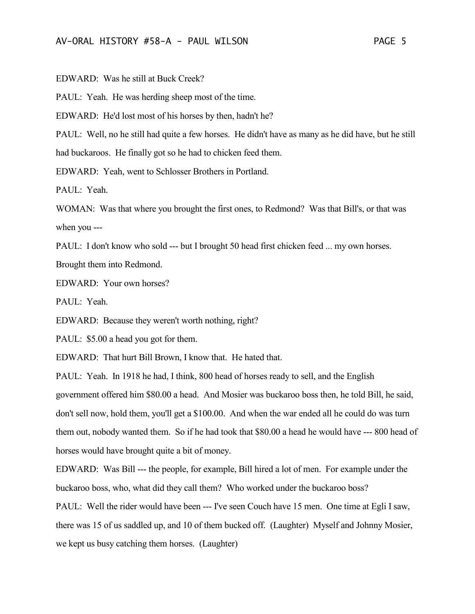EDWARD: Was he still at Buck Creek?

PAUL: Yeah. He was herding sheep most of the time.

EDWARD: He'd lost most of his horses by then, hadn't he?

PAUL: Well, no he still had quite a few horses. He didn't have as many as he did have, but he still had buckaroos. He finally got so he had to chicken feed them.

EDWARD: Yeah, went to Schlosser Brothers in Portland.

PAUL: Yeah.

WOMAN: Was that where you brought the first ones, to Redmond? Was that Bill's, or that was when you ---

PAUL: I don't know who sold --- but I brought 50 head first chicken feed ... my own horses.

Brought them into Redmond.

EDWARD: Your own horses?

PAUL: Yeah.

EDWARD: Because they weren't worth nothing, right?

PAUL: \$5.00 a head you got for them.

EDWARD: That hurt Bill Brown, I know that. He hated that.

PAUL: Yeah. In 1918 he had, I think, 800 head of horses ready to sell, and the English government offered him \$80.00 a head. And Mosier was buckaroo boss then, he told Bill, he said, don't sell now, hold them, you'll get a \$100.00. And when the war ended all he could do was turn them out, nobody wanted them. So if he had took that \$80.00 a head he would have --- 800 head of horses would have brought quite a bit of money.

EDWARD: Was Bill --- the people, for example, Bill hired a lot of men. For example under the buckaroo boss, who, what did they call them? Who worked under the buckaroo boss?

PAUL: Well the rider would have been --- I've seen Couch have 15 men. One time at Egli I saw, there was 15 of us saddled up, and 10 of them bucked off. (Laughter) Myself and Johnny Mosier, we kept us busy catching them horses. (Laughter)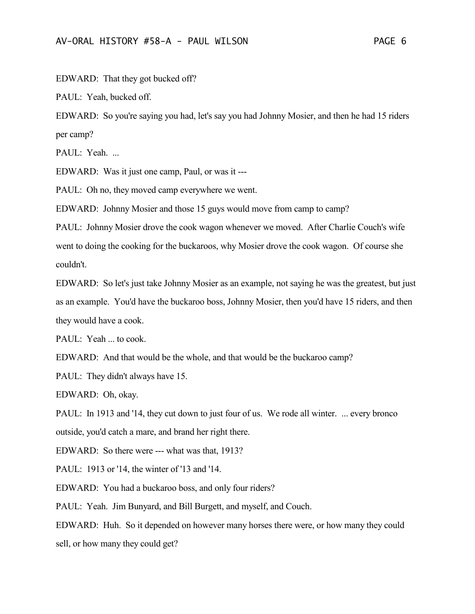EDWARD: That they got bucked off?

PAUL: Yeah, bucked off.

EDWARD: So you're saying you had, let's say you had Johnny Mosier, and then he had 15 riders per camp?

PAUL: Yeah. ...

EDWARD: Was it just one camp, Paul, or was it ---

PAUL: Oh no, they moved camp everywhere we went.

EDWARD: Johnny Mosier and those 15 guys would move from camp to camp?

PAUL: Johnny Mosier drove the cook wagon whenever we moved. After Charlie Couch's wife went to doing the cooking for the buckaroos, why Mosier drove the cook wagon. Of course she couldn't.

EDWARD: So let's just take Johnny Mosier as an example, not saying he was the greatest, but just as an example. You'd have the buckaroo boss, Johnny Mosier, then you'd have 15 riders, and then they would have a cook.

PAUL: Yeah ... to cook.

EDWARD: And that would be the whole, and that would be the buckaroo camp?

PAUL: They didn't always have 15.

EDWARD: Oh, okay.

PAUL: In 1913 and '14, they cut down to just four of us. We rode all winter. ... every bronco outside, you'd catch a mare, and brand her right there.

EDWARD: So there were --- what was that, 1913?

PAUL: 1913 or '14, the winter of '13 and '14.

EDWARD: You had a buckaroo boss, and only four riders?

PAUL: Yeah. Jim Bunyard, and Bill Burgett, and myself, and Couch.

EDWARD: Huh. So it depended on however many horses there were, or how many they could sell, or how many they could get?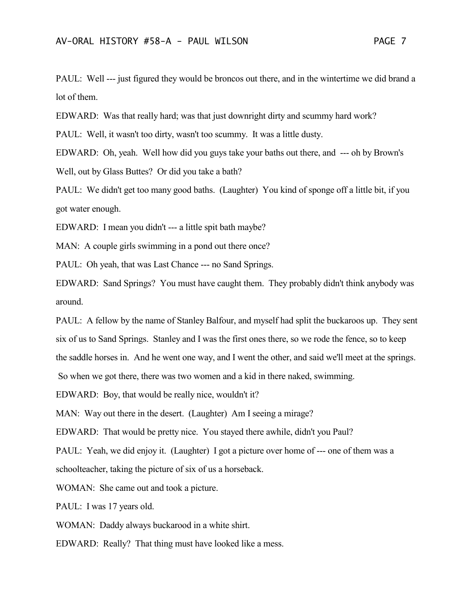PAUL: Well --- just figured they would be broncos out there, and in the wintertime we did brand a lot of them.

EDWARD: Was that really hard; was that just downright dirty and scummy hard work?

PAUL: Well, it wasn't too dirty, wasn't too scummy. It was a little dusty.

EDWARD: Oh, yeah. Well how did you guys take your baths out there, and --- oh by Brown's Well, out by Glass Buttes? Or did you take a bath?

PAUL: We didn't get too many good baths. (Laughter) You kind of sponge off a little bit, if you got water enough.

EDWARD: I mean you didn't --- a little spit bath maybe?

MAN: A couple girls swimming in a pond out there once?

PAUL: Oh yeah, that was Last Chance --- no Sand Springs.

EDWARD: Sand Springs? You must have caught them. They probably didn't think anybody was around.

PAUL: A fellow by the name of Stanley Balfour, and myself had split the buckaroos up. They sent six of us to Sand Springs. Stanley and I was the first ones there, so we rode the fence, so to keep the saddle horses in. And he went one way, and I went the other, and said we'll meet at the springs. So when we got there, there was two women and a kid in there naked, swimming.

EDWARD: Boy, that would be really nice, wouldn't it?

MAN: Way out there in the desert. (Laughter) Am I seeing a mirage?

EDWARD: That would be pretty nice. You stayed there awhile, didn't you Paul?

PAUL: Yeah, we did enjoy it. (Laughter) I got a picture over home of --- one of them was a schoolteacher, taking the picture of six of us a horseback.

WOMAN: She came out and took a picture.

PAUL: I was 17 years old.

WOMAN: Daddy always buckarood in a white shirt.

EDWARD: Really? That thing must have looked like a mess.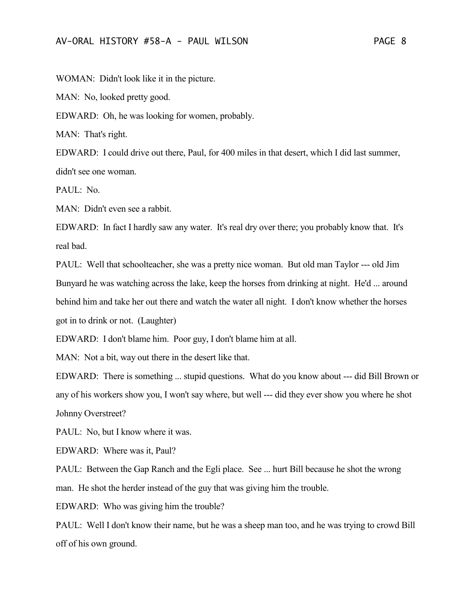WOMAN: Didn't look like it in the picture.

MAN: No, looked pretty good.

EDWARD: Oh, he was looking for women, probably.

MAN: That's right.

EDWARD: I could drive out there, Paul, for 400 miles in that desert, which I did last summer, didn't see one woman.

PAUL: No.

MAN: Didn't even see a rabbit.

EDWARD: In fact I hardly saw any water. It's real dry over there; you probably know that. It's real bad.

PAUL: Well that schoolteacher, she was a pretty nice woman. But old man Taylor --- old Jim Bunyard he was watching across the lake, keep the horses from drinking at night. He'd ... around behind him and take her out there and watch the water all night. I don't know whether the horses got in to drink or not. (Laughter)

EDWARD: I don't blame him. Poor guy, I don't blame him at all.

MAN: Not a bit, way out there in the desert like that.

EDWARD: There is something ... stupid questions. What do you know about --- did Bill Brown or any of his workers show you, I won't say where, but well --- did they ever show you where he shot Johnny Overstreet?

PAUL: No, but I know where it was.

EDWARD: Where was it, Paul?

PAUL: Between the Gap Ranch and the Egli place. See ... hurt Bill because he shot the wrong man. He shot the herder instead of the guy that was giving him the trouble.

EDWARD: Who was giving him the trouble?

PAUL: Well I don't know their name, but he was a sheep man too, and he was trying to crowd Bill off of his own ground.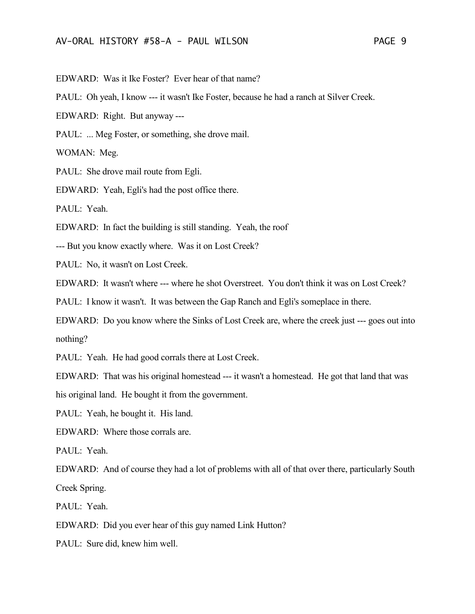EDWARD: Was it Ike Foster? Ever hear of that name?

PAUL: Oh yeah, I know --- it wasn't Ike Foster, because he had a ranch at Silver Creek.

EDWARD: Right. But anyway ---

PAUL: ... Meg Foster, or something, she drove mail.

WOMAN: Meg.

PAUL: She drove mail route from Egli.

EDWARD: Yeah, Egli's had the post office there.

PAUL: Yeah.

EDWARD: In fact the building is still standing. Yeah, the roof

--- But you know exactly where. Was it on Lost Creek?

PAUL: No, it wasn't on Lost Creek.

EDWARD: It wasn't where --- where he shot Overstreet. You don't think it was on Lost Creek?

PAUL: I know it wasn't. It was between the Gap Ranch and Egli's someplace in there.

EDWARD: Do you know where the Sinks of Lost Creek are, where the creek just --- goes out into nothing?

PAUL: Yeah. He had good corrals there at Lost Creek.

EDWARD: That was his original homestead --- it wasn't a homestead. He got that land that was his original land. He bought it from the government.

PAUL: Yeah, he bought it. His land.

EDWARD: Where those corrals are.

PAUL: Yeah.

EDWARD: And of course they had a lot of problems with all of that over there, particularly South Creek Spring.

PAUL: Yeah.

EDWARD: Did you ever hear of this guy named Link Hutton?

PAUL: Sure did, knew him well.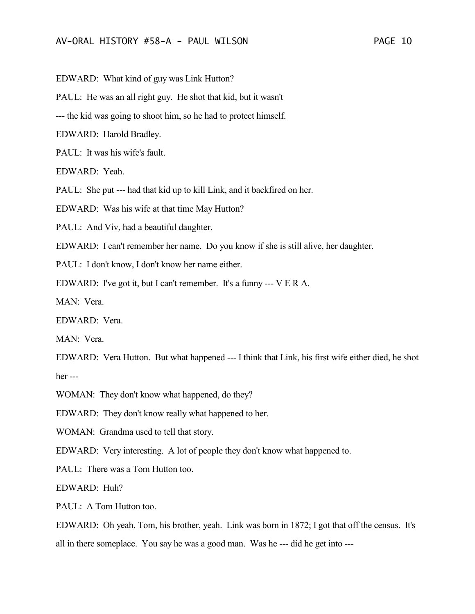EDWARD: What kind of guy was Link Hutton?

PAUL: He was an all right guy. He shot that kid, but it wasn't

--- the kid was going to shoot him, so he had to protect himself.

EDWARD: Harold Bradley.

PAUL: It was his wife's fault.

EDWARD: Yeah.

PAUL: She put --- had that kid up to kill Link, and it backfired on her.

EDWARD: Was his wife at that time May Hutton?

PAUL: And Viv, had a beautiful daughter.

EDWARD: I can't remember her name. Do you know if she is still alive, her daughter.

PAUL: I don't know, I don't know her name either.

EDWARD: I've got it, but I can't remember. It's a funny --- V E R A.

MAN: Vera.

EDWARD: Vera.

MAN: Vera.

EDWARD: Vera Hutton. But what happened --- I think that Link, his first wife either died, he shot her ---

WOMAN: They don't know what happened, do they?

EDWARD: They don't know really what happened to her.

WOMAN: Grandma used to tell that story.

EDWARD: Very interesting. A lot of people they don't know what happened to.

PAUL: There was a Tom Hutton too.

EDWARD: Huh?

PAUL: A Tom Hutton too.

EDWARD: Oh yeah, Tom, his brother, yeah. Link was born in 1872; I got that off the census. It's all in there someplace. You say he was a good man. Was he --- did he get into ---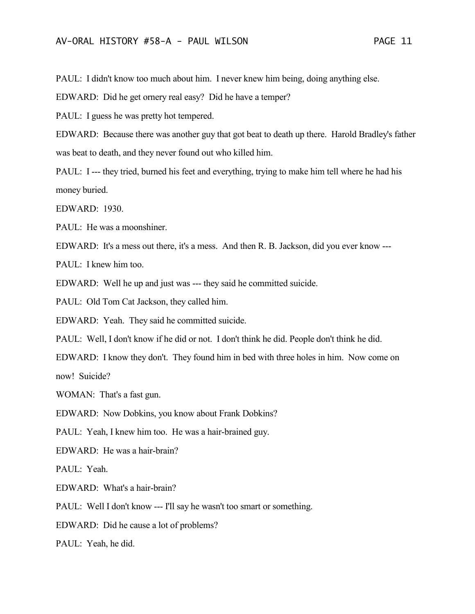PAUL: I didn't know too much about him. I never knew him being, doing anything else.

EDWARD: Did he get ornery real easy? Did he have a temper?

PAUL: I guess he was pretty hot tempered.

EDWARD: Because there was another guy that got beat to death up there. Harold Bradley's father was beat to death, and they never found out who killed him.

PAUL: I --- they tried, burned his feet and everything, trying to make him tell where he had his money buried.

EDWARD: 1930.

PAUL: He was a moonshiner.

EDWARD: It's a mess out there, it's a mess. And then R. B. Jackson, did you ever know ---

PAUL: I knew him too.

EDWARD: Well he up and just was --- they said he committed suicide.

PAUL: Old Tom Cat Jackson, they called him.

EDWARD: Yeah. They said he committed suicide.

PAUL: Well, I don't know if he did or not. I don't think he did. People don't think he did.

EDWARD: I know they don't. They found him in bed with three holes in him. Now come on now! Suicide?

WOMAN: That's a fast gun.

EDWARD: Now Dobkins, you know about Frank Dobkins?

PAUL: Yeah, I knew him too. He was a hair-brained guy.

EDWARD: He was a hair-brain?

PAUL: Yeah.

EDWARD: What's a hair-brain?

PAUL: Well I don't know --- I'll say he wasn't too smart or something.

EDWARD: Did he cause a lot of problems?

PAUL: Yeah, he did.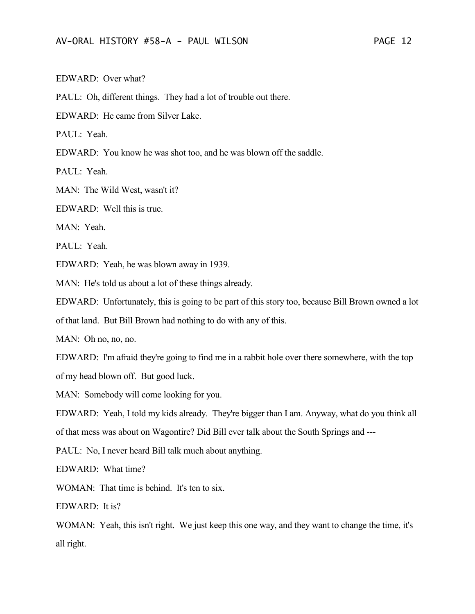EDWARD: Over what?

PAUL: Oh, different things. They had a lot of trouble out there.

EDWARD: He came from Silver Lake.

PAUL: Yeah

EDWARD: You know he was shot too, and he was blown off the saddle.

PAUL: Yeah.

MAN: The Wild West, wasn't it?

EDWARD: Well this is true.

MAN: Yeah.

PAUL: Yeah.

EDWARD: Yeah, he was blown away in 1939.

MAN: He's told us about a lot of these things already.

EDWARD: Unfortunately, this is going to be part of this story too, because Bill Brown owned a lot

of that land. But Bill Brown had nothing to do with any of this.

MAN: Oh no, no, no.

EDWARD: I'm afraid they're going to find me in a rabbit hole over there somewhere, with the top of my head blown off. But good luck.

MAN: Somebody will come looking for you.

EDWARD: Yeah, I told my kids already. They're bigger than I am. Anyway, what do you think all of that mess was about on Wagontire? Did Bill ever talk about the South Springs and ---

PAUL: No, I never heard Bill talk much about anything.

EDWARD: What time?

WOMAN: That time is behind. It's ten to six.

EDWARD: It is?

WOMAN: Yeah, this isn't right. We just keep this one way, and they want to change the time, it's all right.